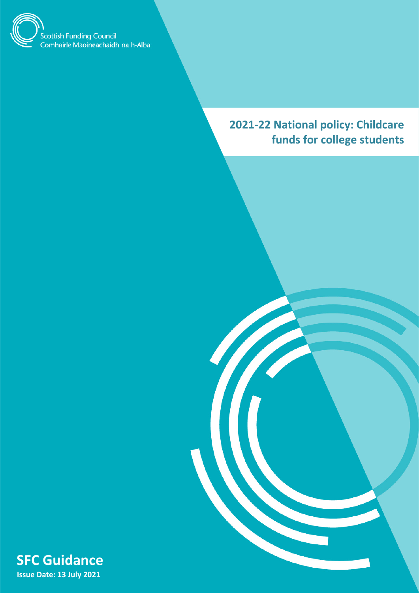

# **2021-22 National policy: Childcare funds for college students**

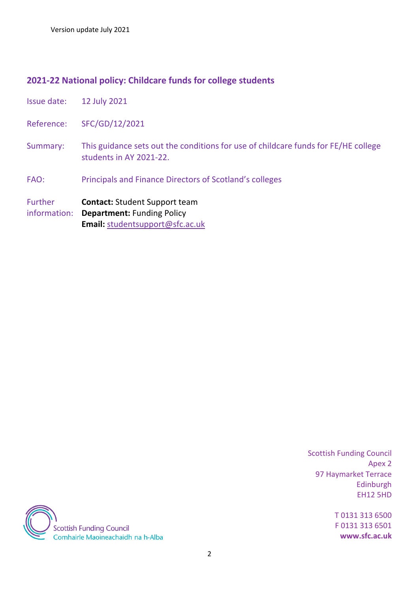### **2021-22 National policy: Childcare funds for college students**

- Issue date: 12 July 2021
- Reference: SFC/GD/12/2021
- Summary: This guidance sets out the conditions for use of childcare funds for FE/HE college students in AY 2021-22.
- FAO: Principals and Finance Directors of Scotland's colleges

Further information: **Department:** Funding Policy **Contact:** Student Support team **Email:** [studentsupport@sfc.ac.uk](mailto:studentsupport@sfc.ac.uk)

> Scottish Funding Council Apex 2 97 Haymarket Terrace Edinburgh EH12 5HD

> > T 0131 313 6500 F 0131 313 6501 **www.sfc.ac.uk**

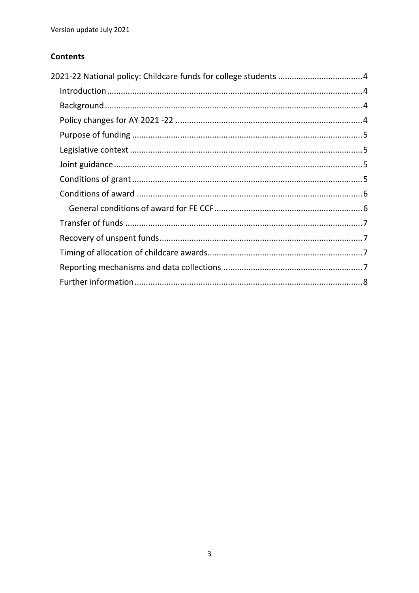### **Contents**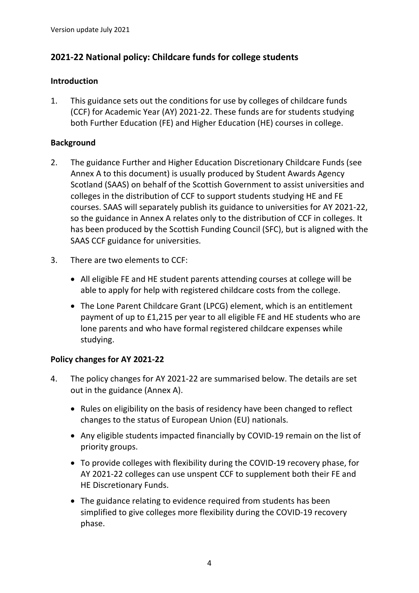## <span id="page-3-0"></span>**2021-22 National policy: Childcare funds for college students**

#### <span id="page-3-1"></span>**Introduction**

1. This guidance sets out the conditions for use by colleges of childcare funds (CCF) for Academic Year (AY) 2021-22. These funds are for students studying both Further Education (FE) and Higher Education (HE) courses in college.

### <span id="page-3-2"></span>**Background**

- 2. The guidance Further and Higher Education Discretionary Childcare Funds (see Annex A to this document) is usually produced by Student Awards Agency Scotland (SAAS) on behalf of the Scottish Government to assist universities and colleges in the distribution of CCF to support students studying HE and FE courses. SAAS will separately publish its guidance to universities for AY 2021-22, so the guidance in Annex A relates only to the distribution of CCF in colleges. It has been produced by the Scottish Funding Council (SFC), but is aligned with the SAAS CCF guidance for universities.
- 3. There are two elements to CCF:
	- All eligible FE and HE student parents attending courses at college will be able to apply for help with registered childcare costs from the college.
	- The Lone Parent Childcare Grant (LPCG) element, which is an entitlement payment of up to £1,215 per year to all eligible FE and HE students who are lone parents and who have formal registered childcare expenses while studying.

#### <span id="page-3-3"></span>**Policy changes for AY 2021-22**

- 4. The policy changes for AY 2021-22 are summarised below. The details are set out in the guidance (Annex A).
	- Rules on eligibility on the basis of residency have been changed to reflect changes to the status of European Union (EU) nationals.
	- Any eligible students impacted financially by COVID-19 remain on the list of priority groups.
	- To provide colleges with flexibility during the COVID-19 recovery phase, for AY 2021-22 colleges can use unspent CCF to supplement both their FE and HE Discretionary Funds.
	- The guidance relating to evidence required from students has been simplified to give colleges more flexibility during the COVID-19 recovery phase.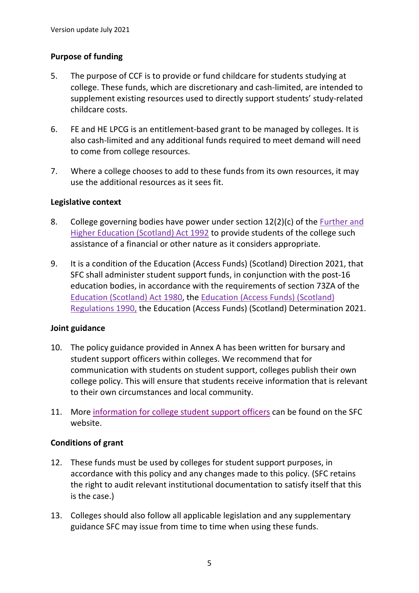#### <span id="page-4-0"></span>**Purpose of funding**

- 5. The purpose of CCF is to provide or fund childcare for students studying at college. These funds, which are discretionary and cash-limited, are intended to supplement existing resources used to directly support students' study-related childcare costs.
- 6. FE and HE LPCG is an entitlement-based grant to be managed by colleges. It is also cash-limited and any additional funds required to meet demand will need to come from college resources.
- 7. Where a college chooses to add to these funds from its own resources, it may use the additional resources as it sees fit.

#### <span id="page-4-1"></span>**Legislative context**

- 8. College governing bodies have power under section 12(2)(c) of the [Further and](http://www.legislation.gov.uk/ukpga/1992/37/data.pdf)  [Higher Education \(Scotland\) Act 1992](http://www.legislation.gov.uk/ukpga/1992/37/data.pdf) to provide students of the college such assistance of a financial or other nature as it considers appropriate.
- 9. It is a condition of the Education (Access Funds) (Scotland) Direction 2021, that SFC shall administer student support funds, in conjunction with the post-16 education bodies, in accordance with the requirements of section 73ZA of the [Education \(Scotland\) Act 1980,](http://www.legislation.gov.uk/ukpga/1980/44/data.pdf) the [Education \(Access Funds\) \(Scotland\)](https://www.legislation.gov.uk/uksi/1990/1534/made/data.pdf)  [Regulations 1990,](https://www.legislation.gov.uk/uksi/1990/1534/made/data.pdf) the Education (Access Funds) (Scotland) Determination 2021.

#### <span id="page-4-2"></span>**Joint guidance**

- 10. The policy guidance provided in Annex A has been written for bursary and student support officers within colleges. We recommend that for communication with students on student support, colleges publish their own college policy. This will ensure that students receive information that is relevant to their own circumstances and local community.
- 11. More [information for college student support officers](http://www.sfc.ac.uk/funding/college-funding/student-support/student-support-guidance/student-support-administrators.aspx) can be found on the SFC website.

#### <span id="page-4-3"></span>**Conditions of grant**

- 12. These funds must be used by colleges for student support purposes, in accordance with this policy and any changes made to this policy. (SFC retains the right to audit relevant institutional documentation to satisfy itself that this is the case.)
- 13. Colleges should also follow all applicable legislation and any supplementary guidance SFC may issue from time to time when using these funds.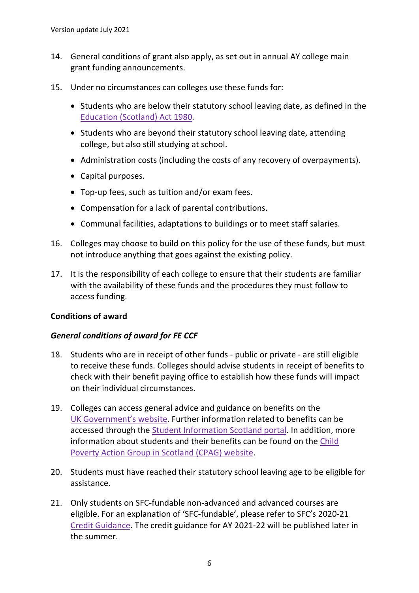- 14. General conditions of grant also apply, as set out in annual AY college main grant funding announcements.
- 15. Under no circumstances can colleges use these funds for:
	- Students who are below their statutory school leaving date, as defined in the [Education \(Scotland\) Act 1980](http://www.legislation.gov.uk/ukpga/1980/44/data.pdf)*.*
	- Students who are beyond their statutory school leaving date, attending college, but also still studying at school.
	- Administration costs (including the costs of any recovery of overpayments).
	- Capital purposes.
	- Top-up fees, such as tuition and/or exam fees.
	- Compensation for a lack of parental contributions.
	- Communal facilities, adaptations to buildings or to meet staff salaries.
- 16. Colleges may choose to build on this policy for the use of these funds, but must not introduce anything that goes against the existing policy.
- 17. It is the responsibility of each college to ensure that their students are familiar with the availability of these funds and the procedures they must follow to access funding.

#### <span id="page-5-0"></span>**Conditions of award**

#### <span id="page-5-1"></span>*General conditions of award for FE CCF*

- 18. Students who are in receipt of other funds public or private are still eligible to receive these funds. Colleges should advise students in receipt of benefits to check with their benefit paying office to establish how these funds will impact on their individual circumstances.
- 19. Colleges can access general advice and guidance on benefits on the [UK Government's website.](https://www.gov.uk/browse/benefits) Further information related to benefits can be accessed through the [Student Information Scotland portal.](https://www.studentinformation.gov.scot/) In addition, more information about students and their benefits can be found on the [Child](http://www.cpag.org.uk/content/students-and-benefits-project-0)  [Poverty Action Group in Scotland \(CPAG\) website.](http://www.cpag.org.uk/content/students-and-benefits-project-0)
- 20. Students must have reached their statutory school leaving age to be eligible for assistance.
- 21. Only students on SFC-fundable non-advanced and advanced courses are eligible. For an explanation of 'SFC-fundable', please refer to SFC's 2020-21 [Credit Guidance.](http://www.sfc.ac.uk/publications-statistics/guidance/2020/SFCGD172020.aspx) The credit guidance for AY 2021-22 will be published later in the summer.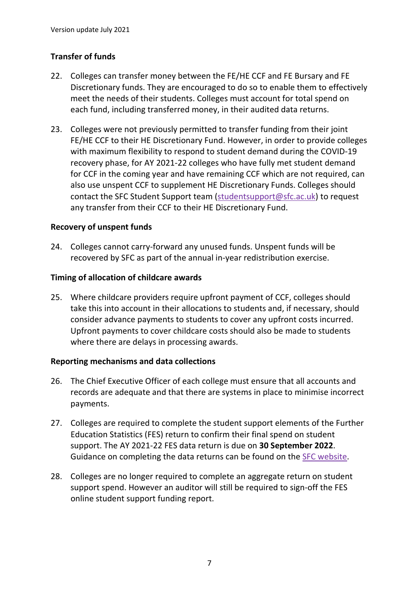### <span id="page-6-0"></span>**Transfer of funds**

- 22. Colleges can transfer money between the FE/HE CCF and FE Bursary and FE Discretionary funds. They are encouraged to do so to enable them to effectively meet the needs of their students. Colleges must account for total spend on each fund, including transferred money, in their audited data returns.
- 23. Colleges were not previously permitted to transfer funding from their joint FE/HE CCF to their HE Discretionary Fund. However, in order to provide colleges with maximum flexibility to respond to student demand during the COVID-19 recovery phase, for AY 2021-22 colleges who have fully met student demand for CCF in the coming year and have remaining CCF which are not required, can also use unspent CCF to supplement HE Discretionary Funds. Colleges should contact the SFC Student Support team [\(studentsupport@sfc.ac.uk\)](mailto:studentsupport@sfc.ac.uk) to request any transfer from their CCF to their HE Discretionary Fund.

#### <span id="page-6-1"></span>**Recovery of unspent funds**

24. Colleges cannot carry-forward any unused funds. Unspent funds will be recovered by SFC as part of the annual in-year redistribution exercise.

#### <span id="page-6-2"></span>**Timing of allocation of childcare awards**

25. Where childcare providers require upfront payment of CCF, colleges should take this into account in their allocations to students and, if necessary, should consider advance payments to students to cover any upfront costs incurred. Upfront payments to cover childcare costs should also be made to students where there are delays in processing awards.

#### <span id="page-6-3"></span>**Reporting mechanisms and data collections**

- 26. The Chief Executive Officer of each college must ensure that all accounts and records are adequate and that there are systems in place to minimise incorrect payments.
- 27. Colleges are required to complete the student support elements of the Further Education Statistics (FES) return to confirm their final spend on student support. The AY 2021-22 FES data return is due on **30 September 2022**. Guidance on completing the data returns can be found on the [SFC website.](http://www.sfc.ac.uk/publications-statistics/guidance/2021/SFCGD032021.aspx)
- 28. Colleges are no longer required to complete an aggregate return on student support spend. However an auditor will still be required to sign-off the FES online student support funding report.